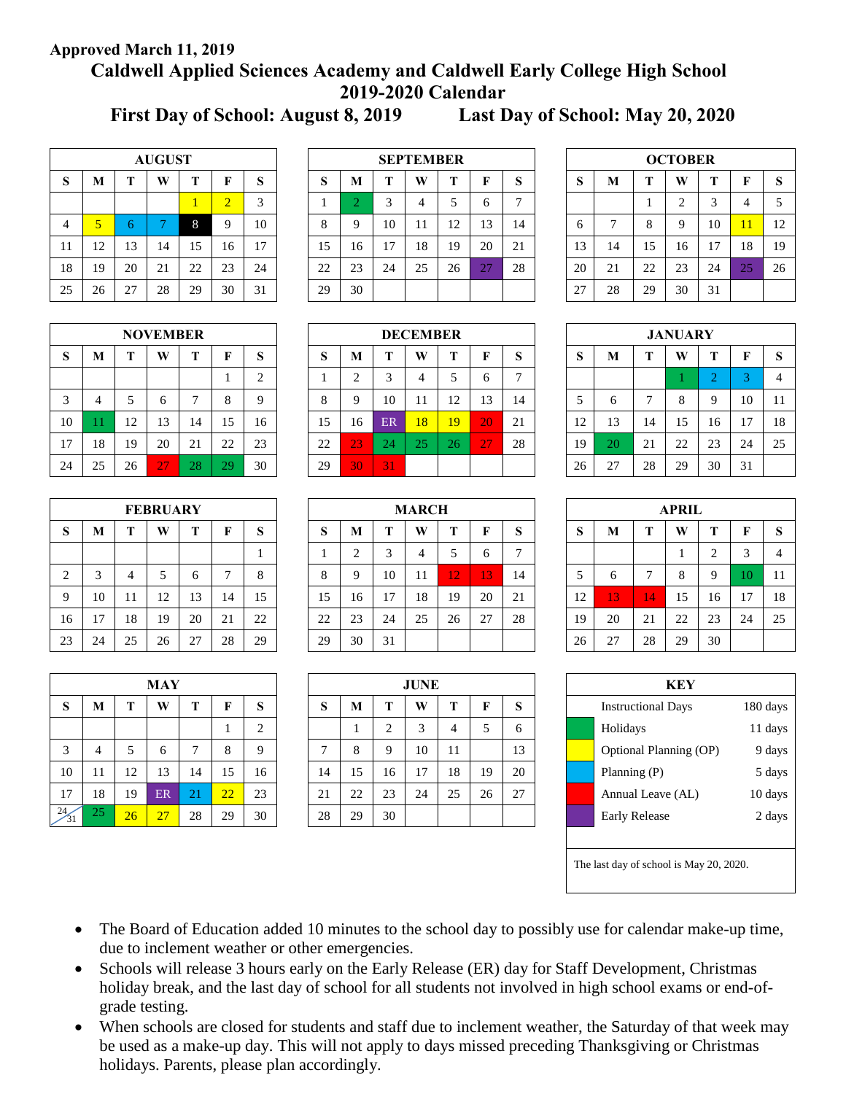## **Approved March 11, 2019**

# **Caldwell Applied Sciences Academy and Caldwell Early College High School 2019-2020 Calendar**

**First Day of School: August 8, 2019 Last Day of School: May 20, 2020**

| <b>AUGUST</b>  |    |    |    |    |                |    |  |  |  |  |  |  |  |
|----------------|----|----|----|----|----------------|----|--|--|--|--|--|--|--|
| S              | М  | T  | W  | Т  | F              | S  |  |  |  |  |  |  |  |
|                |    |    |    |    | $\overline{2}$ | 3  |  |  |  |  |  |  |  |
| $\overline{4}$ | 5  | 6  |    | 8  | 9              | 10 |  |  |  |  |  |  |  |
| 11             | 12 | 13 | 14 | 15 | 16             | 17 |  |  |  |  |  |  |  |
| 18             | 19 | 20 | 21 | 22 | 23             | 24 |  |  |  |  |  |  |  |
| 25             | 26 | 27 | 28 | 29 | 30             | 31 |  |  |  |  |  |  |  |

|                | <b>AUGUST</b> |    |    |    |           |    | <b>SEPTEMBER</b> |        |    |    |    |              |    |    |    | <b>OCTOBER</b> |             |    |    |    |
|----------------|---------------|----|----|----|-----------|----|------------------|--------|----|----|----|--------------|----|----|----|----------------|-------------|----|----|----|
| S              | M             |    | W  |    | F         | S  | D.               | M      |    | W  |    |              | Ø  | D  | М  |                | W           | т  |    | -S |
|                |               |    |    |    | $\bigcap$ | 3  |                  | $\sim$ |    |    |    | <sub>0</sub> |    |    |    |                | $\bigcap$   |    | 4  | 5  |
| $\overline{4}$ |               | b  |    | 8  | Q         | 10 | Ō                | 9      | 10 | 11 | 12 | 13           | 14 | o  |    | 8              | $\mathbf Q$ | 10 |    | 12 |
| 11             | 12            | 13 | 14 | 15 | 16        | 17 | 15               | 16     | 17 | 18 | 19 | 20           | 21 | 13 | 14 | 15             | 16          | 17 | 18 | 19 |
| 18             | 19            | 20 | 21 | 22 | 23        | 24 | 22               | 23     | 24 | 25 | 26 | 27           | 28 | 20 | 21 | 22             | 23          | 24 | 25 | 26 |
| 25             | 26            | 27 | 28 | 29 | 30        | 31 | 29               | 30     |    |    |    |              |    | 27 | 28 | 29             | 30          | 31 |    |    |

| <b>OCTOBER</b> |    |    |                |    |    |    |  |  |  |  |  |  |  |
|----------------|----|----|----------------|----|----|----|--|--|--|--|--|--|--|
| S              | M  | T  | W              | T  | F  | S  |  |  |  |  |  |  |  |
|                |    | 1  | $\overline{2}$ | 3  | 4  | 5  |  |  |  |  |  |  |  |
| 6              | 7  | 8  | 9              | 10 | 11 | 12 |  |  |  |  |  |  |  |
| 13             | 14 | 15 | 16             | 17 | 18 | 19 |  |  |  |  |  |  |  |
| 20             | 21 | 22 | 23             | 24 | 25 | 26 |  |  |  |  |  |  |  |
| 27             | 28 | 29 | 30             | 31 |    |    |  |  |  |  |  |  |  |

|    | <b>JANUARY</b> |    |    |                |    |    |  |  |  |  |  |  |  |  |  |
|----|----------------|----|----|----------------|----|----|--|--|--|--|--|--|--|--|--|
| S  | М              | T  | W  | т              | F  | S  |  |  |  |  |  |  |  |  |  |
|    |                |    |    | $\overline{2}$ | 3  |    |  |  |  |  |  |  |  |  |  |
| 5  | 6              | 7  | 8  | 9              | 10 | 11 |  |  |  |  |  |  |  |  |  |
| 12 | 13             | 14 | 15 | 16             | 17 | 18 |  |  |  |  |  |  |  |  |  |
| 19 | 20             | 21 | 22 | 23             | 24 | 25 |  |  |  |  |  |  |  |  |  |
| 26 | 27             | 28 | 29 | 30             | 31 |    |  |  |  |  |  |  |  |  |  |

| <b>APRIL</b> |    |    |    |                |    |    |  |  |  |  |  |  |
|--------------|----|----|----|----------------|----|----|--|--|--|--|--|--|
| S            | M  | T  | W  | T              | F  | S  |  |  |  |  |  |  |
|              |    |    |    | $\overline{2}$ | 3  |    |  |  |  |  |  |  |
| 5            | 6  | 7  | 8  | 9              | 10 | 11 |  |  |  |  |  |  |
| 12           | 13 | 14 | 15 | 16             | 17 | 18 |  |  |  |  |  |  |
| 19           | 20 | 21 | 22 | 23             | 24 | 25 |  |  |  |  |  |  |
| 26           | 27 | 28 | 29 | 30             |    |    |  |  |  |  |  |  |

| KEY |                           |          |  |  |  |  |  |  |  |  |
|-----|---------------------------|----------|--|--|--|--|--|--|--|--|
|     | <b>Instructional Days</b> | 180 days |  |  |  |  |  |  |  |  |
|     | Holidays                  | 11 days  |  |  |  |  |  |  |  |  |
|     | Optional Planning (OP)    | 9 days   |  |  |  |  |  |  |  |  |
|     | Planning (P)              | 5 days   |  |  |  |  |  |  |  |  |
|     | Annual Leave (AL)         | 10 days  |  |  |  |  |  |  |  |  |
|     | <b>Early Release</b>      | 2 days   |  |  |  |  |  |  |  |  |
|     |                           |          |  |  |  |  |  |  |  |  |
|     |                           |          |  |  |  |  |  |  |  |  |

The last day of school is May 20, 2020.

| <b>NOVEMBER</b> |    |    |    |    |    |                |  |  |  |  |  |  |  |
|-----------------|----|----|----|----|----|----------------|--|--|--|--|--|--|--|
| S               | M  | T  | W  | T  | F  | S              |  |  |  |  |  |  |  |
|                 |    |    |    |    |    | $\overline{2}$ |  |  |  |  |  |  |  |
| 3               | 4  | 5  | 6  | 7  | 8  | 9              |  |  |  |  |  |  |  |
| 10              | 11 | 12 | 13 | 14 | 15 | 16             |  |  |  |  |  |  |  |
| 17              | 18 | 19 | 20 | 21 | 22 | 23             |  |  |  |  |  |  |  |
| 24              | 25 | 26 | 27 | 28 | 29 | 30             |  |  |  |  |  |  |  |

|                | <b>FEBRUARY</b> |    |    |    |    |    |  |  |  |  |  |  |  |  |
|----------------|-----------------|----|----|----|----|----|--|--|--|--|--|--|--|--|
| S              | M               | т  | W  | т  | F  | S  |  |  |  |  |  |  |  |  |
|                |                 |    |    |    |    |    |  |  |  |  |  |  |  |  |
| $\overline{2}$ | 3               |    | 5  | 6  | 7  | 8  |  |  |  |  |  |  |  |  |
| 9              | 10              | 11 | 12 | 13 | 14 | 15 |  |  |  |  |  |  |  |  |
| 16             | 17              | 18 | 19 | 20 | 21 | 22 |  |  |  |  |  |  |  |  |
| 23             | 24              | 25 | 26 | 27 | 28 | 29 |  |  |  |  |  |  |  |  |

| MAY      |    |    |    |    |    |                |  |  |  |  |  |  |  |
|----------|----|----|----|----|----|----------------|--|--|--|--|--|--|--|
| S        | M  | T  | W  | T  | F  | S              |  |  |  |  |  |  |  |
|          |    |    |    |    | 1  | $\overline{2}$ |  |  |  |  |  |  |  |
| 3        | 4  | 5  | 6  | 7  | 8  | 9              |  |  |  |  |  |  |  |
| 10       | 11 | 12 | 13 | 14 | 15 | 16             |  |  |  |  |  |  |  |
| 17       | 18 | 19 | ER | 21 | 22 | 23             |  |  |  |  |  |  |  |
| 24<br>31 | 25 | 26 | 27 | 28 | 29 | 30             |  |  |  |  |  |  |  |

|    | <b>FEBRUARY</b> |          |    |                      |    |        |    |             | <b>MARCH</b> |    |    |     |    |  |    |                        | <b>APRIL</b>   |              |    |                |    |
|----|-----------------|----------|----|----------------------|----|--------|----|-------------|--------------|----|----|-----|----|--|----|------------------------|----------------|--------------|----|----------------|----|
| S  | M               |          | W  |                      |    | c<br>Ю | D. | M           |              | W  |    |     | ю. |  | ÐЭ | М                      |                | W            |    |                | -S |
|    |                 |          |    |                      |    | л.     |    | $\sim$<br>∸ |              |    |    | h   |    |  |    |                        |                |              |    |                | 4  |
| 2  |                 | $\Delta$ | 5  |                      |    | 8      |    | Q           | 10           | 11 | 12 | 131 | 14 |  |    |                        |                | $\circ$<br>Ō |    |                | 11 |
| 9  | 10              | 11       | 12 | 13                   | 14 | 15     | 15 | 16          | 17           | 18 | 19 | 20  | 21 |  | 12 | 13                     | $\overline{4}$ | 15           | 16 | $\blacksquare$ | 18 |
| 16 | . .             | 18       | 19 | 20                   | 21 | 22     | 22 | 23          | 24           | 25 | 26 | 27  | 28 |  | 19 | 20                     | 21             | 22           | 23 | -24            | 25 |
| 23 | 24              | 25       | 26 | 27<br>$\overline{2}$ | 28 | 29     | 29 | 30          | 31           |    |    |     |    |  | 26 | $\gamma$<br>$\angle I$ | 28             | 29           | 30 |                |    |

|                 |    |    | <b>MAY</b> |    |    |                |  |                |    |    | JUNE   |    |    |    |  |                              |          |  |
|-----------------|----|----|------------|----|----|----------------|--|----------------|----|----|--------|----|----|----|--|------------------------------|----------|--|
| S               | M  |    | W          |    |    | S              |  | S              | M  |    | W      |    |    | S  |  | <b>Instructional Days</b>    | 180 days |  |
|                 |    |    |            |    |    | $\bigcap$<br>∠ |  |                |    |    | $\sim$ | 4  |    | 6  |  | Holidays                     | 11 days  |  |
| 3               | 4  |    | $\sigma$   |    | 8  | $\mathbf Q$    |  | $\overline{ }$ | 8  |    | 10     | 11 |    | 13 |  | Optional Planning (OP)       | 9 days   |  |
| 10              | 11 | 12 | 13         | 14 | 15 | 16             |  | 14             | 15 | 16 | 17     | 18 | 19 | 20 |  | Planning (P)                 | 5 days   |  |
| 17              | 18 | 19 | ER         | 21 | 22 | 23             |  | 21             | 22 | 23 | 24     | 25 | 26 | 27 |  | 10 days<br>Annual Leave (AL) |          |  |
| $\frac{24}{31}$ | 25 | 26 | 27         | 28 | 29 | 30             |  | 28             | 29 | 30 |        |    |    |    |  | <b>Early Release</b>         |          |  |

- The Board of Education added 10 minutes to the school day to possibly use for calendar make-up time, due to inclement weather or other emergencies.
- Schools will release 3 hours early on the Early Release (ER) day for Staff Development, Christmas holiday break, and the last day of school for all students not involved in high school exams or end-ofgrade testing.
- When schools are closed for students and staff due to inclement weather, the Saturday of that week may be used as a make-up day. This will not apply to days missed preceding Thanksgiving or Christmas holidays. Parents, please plan accordingly.

|    | <b>NOVEMBER</b> |    |    |    |    |                |  |    |        |    | <b>DECEMBER</b> |    |              |    |    |          |    | <b>JANUARY</b> |    |                |    |
|----|-----------------|----|----|----|----|----------------|--|----|--------|----|-----------------|----|--------------|----|----|----------|----|----------------|----|----------------|----|
| S  | M               |    | W  | m  | ю  | S              |  | ാ  | M      | m  | W               |    | ю            | O  | D. | M        |    | W              | m  |                | -S |
|    |                 |    |    |    |    | $\bigcap$<br>∠ |  |    | $\sim$ |    | 4               |    | <sub>0</sub> |    |    |          |    |                |    |                | 4  |
| 3  |                 |    | 6  |    | 8  | Q              |  | ◠  | Q      | 10 | 11              | 12 | 13           | 14 |    | n        |    | 8              | Q  | 10             | 11 |
| 10 |                 | 12 | 13 | 14 | 15 | 16             |  | 15 | 16     | ER | 18              | 19 | 20           | 21 | 12 | 13       | 14 | 15             | 16 | 1 <sub>7</sub> | 18 |
| 17 | 18              | 19 | 20 | 21 | 22 | 23             |  | 22 | 23     | 24 | 25              | 26 | 27           | 28 | 19 | 20       | 21 | 22             | 23 | -24            | 25 |
| 24 | 25              | 26 | 27 | 28 | 29 | 30             |  | 29 | 30     | 31 |                 |    |              |    | 26 | $\gamma$ | 28 | 29             | 30 | 31             |    |